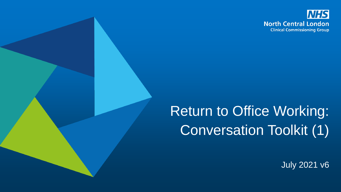

# Return to Office Working: Conversation Toolkit (1)

July 2021 v6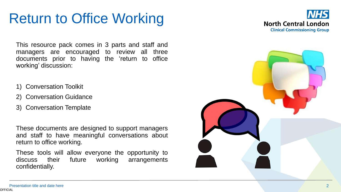# Return to Office Working



This resource pack comes in 3 parts and staff and managers are encouraged to review all three documents prior to having the 'return to office working' discussion :

- 1) Conversation Toolkit
- 2) Conversation Guidance
- 3) Conversation Template

These documents are designed to support managers and staff to have meaningful conversations about return to office working .

These tools will allow everyone the opportunity to discuss their future working arrangements confidentially .

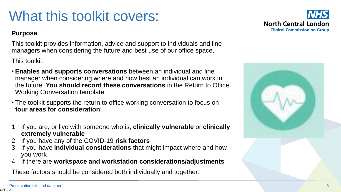### <span id="page-2-0"></span>What this toolkit covers:

#### **Purpose**

This toolkit provides information, advice and support to individuals and line managers when considering the future and best use of our office space.

This toolkit:

- **Enables and supports conversations** between an individual and line manager when considering where and how best an individual can work in the future. **You should record these conversations** in the Return to Office Working Conversation template
- The toolkit supports the return to office working conversation to focus on **four areas for consideration**:
- 1. If you are, or live with someone who is, **clinically vulnerable** or **clinically extremely vulnerable**
- 2. If you have any of the COVID-19 **risk factors**
- 3. If you have **individual considerations** that might impact where and how you work
- 4. If there are **workspace and workstation considerations/adjustments**

These factors should be considered both individually and together.



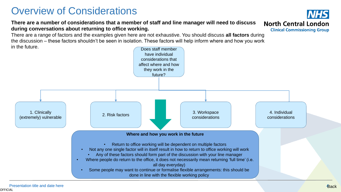### Overview of Considerations

#### **There are a number of considerations that a member of staff and line manager will need to discuss during conversations about returning to office working.**

There are a range of factors and the examples given here are not exhaustive. You should discuss **all factors** during the discussion – these factors shouldn't be seen in isolation. These factors will help inform where and how you work in the future.



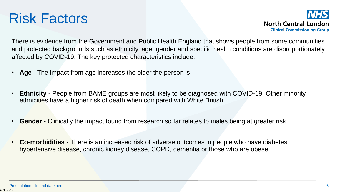



There is evidence from the Government and Public Health England that shows people from some communities and protected backgrounds such as ethnicity, age, gender and specific health conditions are disproportionately affected by COVID-19. The key protected characteristics include:

- **Age** The impact from age increases the older the person is
- **Ethnicity** People from BAME groups are most likely to be diagnosed with COVID-19. Other minority ethnicities have a higher risk of death when compared with White British
- **Gender** Clinically the impact found from research so far relates to males being at greater risk
- **Co-morbidities** There is an increased risk of adverse outcomes in people who have diabetes, hypertensive disease, chronic kidney disease, COPD, dementia or those who are obese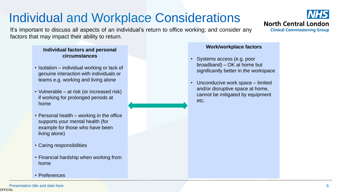### Individual and Workplace Considerations

It's important to discuss all aspects of an individual's return to office working; and consider any factors that may impact their ability to return.

#### **Individual factors and personal circumstances**

- Isolation individual working or lack of genuine interaction with individuals or teams e.g. working and living alone
- Vulnerable at risk (or increased risk) if working for prolonged periods at home
- Personal health working in the office supports your mental health (for example for those who have been living alone)
- Caring responsibilities
- Financial hardship when working from home
- Preferences

#### **Work/workplace factors**

- Systems access (e.g. poor broadband) – OK at home but significantly better in the workspace
- Unconducive work space limited and/or disruptive space at home, cannot be mitigated by equipment etc.

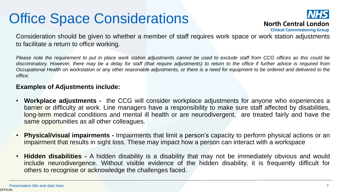# Office Space Considerations



**North Central London** 

**Clinical Commissioning Group** 

Consideration should be given to whether a member of staff requires work space or work station adjustments to facilitate a return to office working.

Please note the requirement to put in place work station adjustments cannot be used to exclude staff from CCG offices as this could be discriminatory. However, there may be a delay for staff (that require adjustments) to return to the office if further advice is required from Occupational Health on workstation or any other reasonable adjustments, or there is a need for equipment to be ordered and delivered to the *office.*

#### **Examples of Adjustments include:**

- **Workplace adjustments -** the CCG will consider workplace adjustments for anyone who experiences a barrier or difficulty at work. Line managers have a responsibility to make sure staff affected by disabilities, long-term medical conditions and mental ill health or are neurodivergent, are treated fairly and have the same opportunities as all other colleagues.
- **Physical/visual impairments -** Impairments that limit a person's capacity to perform physical actions or an impairment that results in sight loss. These may impact how a person can interact with a workspace
- **Hidden disabilities -** A hidden disability is a disability that may not be immediately obvious and would include neurodivergence. Without visible evidence of the hidden disability, it is frequently difficult for others to recognise or acknowledge the challenges faced.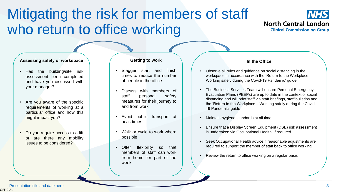### <span id="page-7-0"></span>Mitigating the risk for members of staff who return to office working



#### **Assessing safety of workspace**

- Has the building/site risk assessment been completed and have you discussed with your manager?
- Are you aware of the specific requirements of working at a particular office and how this might impact you?
- Do you require access to a lift or are there any mobility issues to be considered?

#### **Getting to work**

- Stagger start and finish times to reduce the number of people in the office
- Discuss with members of staff personal safety measures for their journey to and from work
- Avoid public transport at peak times
- Walk or cycle to work where possible
- Offer flexibility so that members of staff can work from home for part of the week

#### **In the Office**

- Observe all rules and guidance on social distancing in the workspace in accordance with the 'Return to the Workplace – Working safely during the Covid-19 Pandemic' guide
- The Business Services Team will ensure Personal Emergency Evacuation Plans (PEEPs) are up to date in the context of social distancing and will brief staff via staff briefings, staff bulletins and the 'Return to the Workplace – Working safely during the Covid-19 Pandemic' guide
- Maintain hygiene standards at all time
- Ensure that a Display Screen Equipment (DSE) risk assessment is undertaken via Occupational Health, if required
- Seek Occupational Health advice if reasonable adjustments are required to support the member of staff back to office working
- Review the return to office working on a regular basis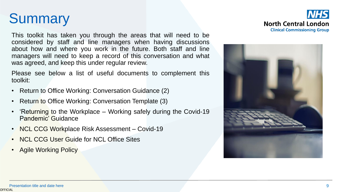# <span id="page-8-0"></span>**Summary**

This toolkit has taken you through the areas that will need to be considered by staff and line managers when having discussions about how and where you work in the future. Both staff and line managers will need to keep a record of this conversation and what was agreed, and keep this under regular review.

Please see below a list of useful documents to complement this toolkit:

- Return to Office Working: Conversation Guidance (2)
- Return to Office Working: Conversation Template (3)
- 'Returning to the Workplace Working safely during the Covid-19 Pandemic' Guidance
- NCL CCG Workplace Risk Assessment Covid-19
- NCL CCG User Guide for NCL Office Sites
- Agile Working Policy